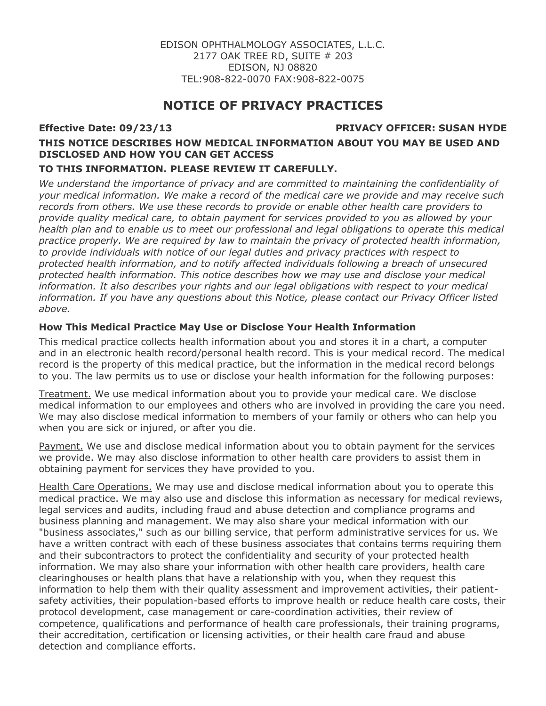# **NOTICE OF PRIVACY PRACTICES**

## **Effective Date: 09/23/13 PRIVACY OFFICER: SUSAN HYDE**

# **THIS NOTICE DESCRIBES HOW MEDICAL INFORMATION ABOUT YOU MAY BE USED AND DISCLOSED AND HOW YOU CAN GET ACCESS**

## **TO THIS INFORMATION. PLEASE REVIEW IT CAREFULLY.**

*We understand the importance of privacy and are committed to maintaining the confidentiality of your medical information. We make a record of the medical care we provide and may receive such records from others. We use these records to provide or enable other health care providers to provide quality medical care, to obtain payment for services provided to you as allowed by your health plan and to enable us to meet our professional and legal obligations to operate this medical practice properly. We are required by law to maintain the privacy of protected health information, to provide individuals with notice of our legal duties and privacy practices with respect to protected health information, and to notify affected individuals following a breach of unsecured protected health information. This notice describes how we may use and disclose your medical information. It also describes your rights and our legal obligations with respect to your medical information. If you have any questions about this Notice, please contact our Privacy Officer listed above.*

# **How This Medical Practice May Use or Disclose Your Health Information**

This medical practice collects health information about you and stores it in a chart, a computer and in an electronic health record/personal health record. This is your medical record. The medical record is the property of this medical practice, but the information in the medical record belongs to you. The law permits us to use or disclose your health information for the following purposes:

Treatment. We use medical information about you to provide your medical care. We disclose medical information to our employees and others who are involved in providing the care you need. We may also disclose medical information to members of your family or others who can help you when you are sick or injured, or after you die.

Payment. We use and disclose medical information about you to obtain payment for the services we provide. We may also disclose information to other health care providers to assist them in obtaining payment for services they have provided to you.

Health Care Operations. We may use and disclose medical information about you to operate this medical practice. We may also use and disclose this information as necessary for medical reviews, legal services and audits, including fraud and abuse detection and compliance programs and business planning and management. We may also share your medical information with our "business associates," such as our billing service, that perform administrative services for us. We have a written contract with each of these business associates that contains terms requiring them and their subcontractors to protect the confidentiality and security of your protected health information. We may also share your information with other health care providers, health care clearinghouses or health plans that have a relationship with you, when they request this information to help them with their quality assessment and improvement activities, their patientsafety activities, their population-based efforts to improve health or reduce health care costs, their protocol development, case management or care-coordination activities, their review of competence, qualifications and performance of health care professionals, their training programs, their accreditation, certification or licensing activities, or their health care fraud and abuse detection and compliance efforts.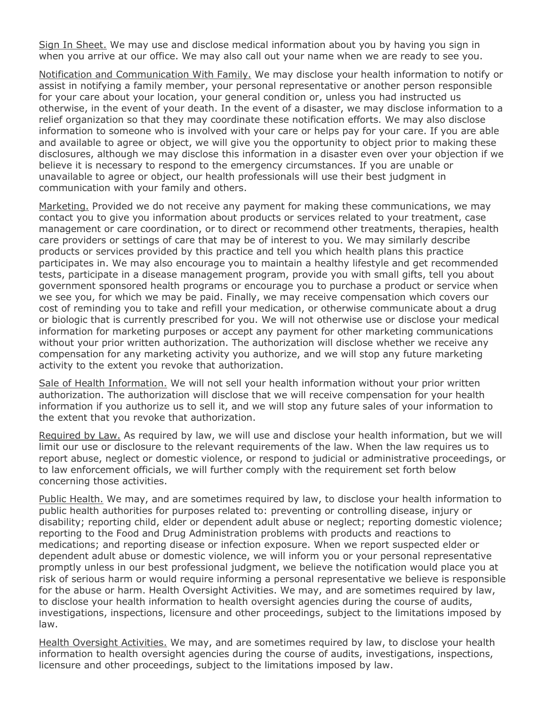Sign In Sheet. We may use and disclose medical information about you by having you sign in when you arrive at our office. We may also call out your name when we are ready to see you.

Notification and Communication With Family. We may disclose your health information to notify or assist in notifying a family member, your personal representative or another person responsible for your care about your location, your general condition or, unless you had instructed us otherwise, in the event of your death. In the event of a disaster, we may disclose information to a relief organization so that they may coordinate these notification efforts. We may also disclose information to someone who is involved with your care or helps pay for your care. If you are able and available to agree or object, we will give you the opportunity to object prior to making these disclosures, although we may disclose this information in a disaster even over your objection if we believe it is necessary to respond to the emergency circumstances. If you are unable or unavailable to agree or object, our health professionals will use their best judgment in communication with your family and others.

Marketing. Provided we do not receive any payment for making these communications, we may contact you to give you information about products or services related to your treatment, case management or care coordination, or to direct or recommend other treatments, therapies, health care providers or settings of care that may be of interest to you. We may similarly describe products or services provided by this practice and tell you which health plans this practice participates in. We may also encourage you to maintain a healthy lifestyle and get recommended tests, participate in a disease management program, provide you with small gifts, tell you about government sponsored health programs or encourage you to purchase a product or service when we see you, for which we may be paid. Finally, we may receive compensation which covers our cost of reminding you to take and refill your medication, or otherwise communicate about a drug or biologic that is currently prescribed for you. We will not otherwise use or disclose your medical information for marketing purposes or accept any payment for other marketing communications without your prior written authorization. The authorization will disclose whether we receive any compensation for any marketing activity you authorize, and we will stop any future marketing activity to the extent you revoke that authorization.

Sale of Health Information. We will not sell your health information without your prior written authorization. The authorization will disclose that we will receive compensation for your health information if you authorize us to sell it, and we will stop any future sales of your information to the extent that you revoke that authorization.

Required by Law. As required by law, we will use and disclose your health information, but we will limit our use or disclosure to the relevant requirements of the law. When the law requires us to report abuse, neglect or domestic violence, or respond to judicial or administrative proceedings, or to law enforcement officials, we will further comply with the requirement set forth below concerning those activities.

Public Health. We may, and are sometimes required by law, to disclose your health information to public health authorities for purposes related to: preventing or controlling disease, injury or disability; reporting child, elder or dependent adult abuse or neglect; reporting domestic violence; reporting to the Food and Drug Administration problems with products and reactions to medications; and reporting disease or infection exposure. When we report suspected elder or dependent adult abuse or domestic violence, we will inform you or your personal representative promptly unless in our best professional judgment, we believe the notification would place you at risk of serious harm or would require informing a personal representative we believe is responsible for the abuse or harm. Health Oversight Activities. We may, and are sometimes required by law, to disclose your health information to health oversight agencies during the course of audits, investigations, inspections, licensure and other proceedings, subject to the limitations imposed by law.

Health Oversight Activities. We may, and are sometimes required by law, to disclose your health information to health oversight agencies during the course of audits, investigations, inspections, licensure and other proceedings, subject to the limitations imposed by law.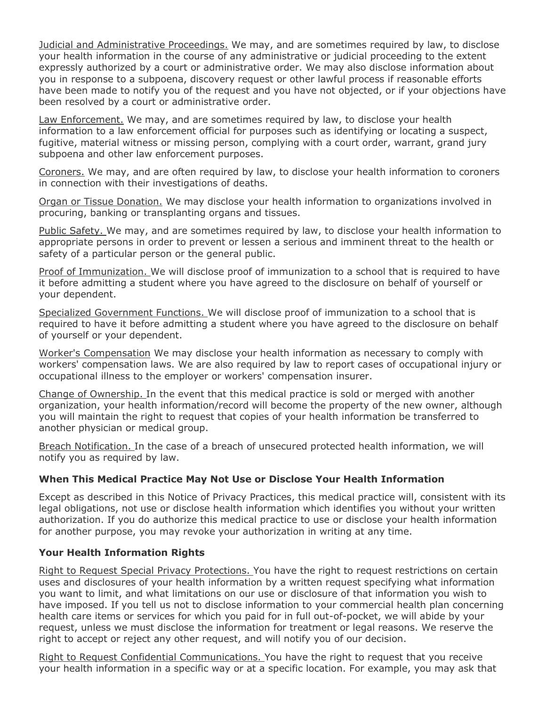Judicial and Administrative Proceedings. We may, and are sometimes required by law, to disclose your health information in the course of any administrative or judicial proceeding to the extent expressly authorized by a court or administrative order. We may also disclose information about you in response to a subpoena, discovery request or other lawful process if reasonable efforts have been made to notify you of the request and you have not objected, or if your objections have been resolved by a court or administrative order.

Law Enforcement. We may, and are sometimes required by law, to disclose your health information to a law enforcement official for purposes such as identifying or locating a suspect, fugitive, material witness or missing person, complying with a court order, warrant, grand jury subpoena and other law enforcement purposes.

Coroners. We may, and are often required by law, to disclose your health information to coroners in connection with their investigations of deaths.

Organ or Tissue Donation. We may disclose your health information to organizations involved in procuring, banking or transplanting organs and tissues.

Public Safety. We may, and are sometimes required by law, to disclose your health information to appropriate persons in order to prevent or lessen a serious and imminent threat to the health or safety of a particular person or the general public.

Proof of Immunization. We will disclose proof of immunization to a school that is required to have it before admitting a student where you have agreed to the disclosure on behalf of yourself or your dependent.

Specialized Government Functions. We will disclose proof of immunization to a school that is required to have it before admitting a student where you have agreed to the disclosure on behalf of yourself or your dependent.

Worker's Compensation We may disclose your health information as necessary to comply with workers' compensation laws. We are also required by law to report cases of occupational injury or occupational illness to the employer or workers' compensation insurer.

Change of Ownership. In the event that this medical practice is sold or merged with another organization, your health information/record will become the property of the new owner, although you will maintain the right to request that copies of your health information be transferred to another physician or medical group.

Breach Notification. In the case of a breach of unsecured protected health information, we will notify you as required by law.

#### **When This Medical Practice May Not Use or Disclose Your Health Information**

Except as described in this Notice of Privacy Practices, this medical practice will, consistent with its legal obligations, not use or disclose health information which identifies you without your written authorization. If you do authorize this medical practice to use or disclose your health information for another purpose, you may revoke your authorization in writing at any time.

#### **Your Health Information Rights**

Right to Request Special Privacy Protections. You have the right to request restrictions on certain uses and disclosures of your health information by a written request specifying what information you want to limit, and what limitations on our use or disclosure of that information you wish to have imposed. If you tell us not to disclose information to your commercial health plan concerning health care items or services for which you paid for in full out-of-pocket, we will abide by your request, unless we must disclose the information for treatment or legal reasons. We reserve the right to accept or reject any other request, and will notify you of our decision.

Right to Request Confidential Communications. You have the right to request that you receive your health information in a specific way or at a specific location. For example, you may ask that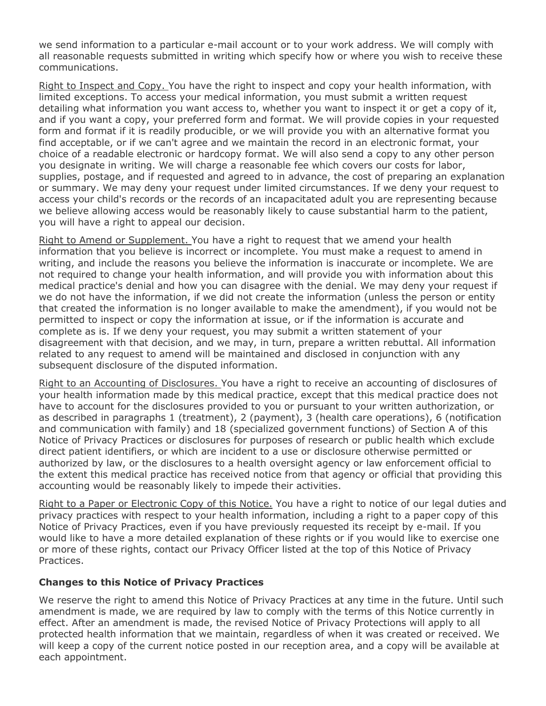we send information to a particular e-mail account or to your work address. We will comply with all reasonable requests submitted in writing which specify how or where you wish to receive these communications.

Right to Inspect and Copy. You have the right to inspect and copy your health information, with limited exceptions. To access your medical information, you must submit a written request detailing what information you want access to, whether you want to inspect it or get a copy of it, and if you want a copy, your preferred form and format. We will provide copies in your requested form and format if it is readily producible, or we will provide you with an alternative format you find acceptable, or if we can't agree and we maintain the record in an electronic format, your choice of a readable electronic or hardcopy format. We will also send a copy to any other person you designate in writing. We will charge a reasonable fee which covers our costs for labor, supplies, postage, and if requested and agreed to in advance, the cost of preparing an explanation or summary. We may deny your request under limited circumstances. If we deny your request to access your child's records or the records of an incapacitated adult you are representing because we believe allowing access would be reasonably likely to cause substantial harm to the patient, you will have a right to appeal our decision.

Right to Amend or Supplement. You have a right to request that we amend your health information that you believe is incorrect or incomplete. You must make a request to amend in writing, and include the reasons you believe the information is inaccurate or incomplete. We are not required to change your health information, and will provide you with information about this medical practice's denial and how you can disagree with the denial. We may deny your request if we do not have the information, if we did not create the information (unless the person or entity that created the information is no longer available to make the amendment), if you would not be permitted to inspect or copy the information at issue, or if the information is accurate and complete as is. If we deny your request, you may submit a written statement of your disagreement with that decision, and we may, in turn, prepare a written rebuttal. All information related to any request to amend will be maintained and disclosed in conjunction with any subsequent disclosure of the disputed information.

Right to an Accounting of Disclosures. You have a right to receive an accounting of disclosures of your health information made by this medical practice, except that this medical practice does not have to account for the disclosures provided to you or pursuant to your written authorization, or as described in paragraphs 1 (treatment), 2 (payment), 3 (health care operations), 6 (notification and communication with family) and 18 (specialized government functions) of Section A of this Notice of Privacy Practices or disclosures for purposes of research or public health which exclude direct patient identifiers, or which are incident to a use or disclosure otherwise permitted or authorized by law, or the disclosures to a health oversight agency or law enforcement official to the extent this medical practice has received notice from that agency or official that providing this accounting would be reasonably likely to impede their activities.

Right to a Paper or Electronic Copy of this Notice. You have a right to notice of our legal duties and privacy practices with respect to your health information, including a right to a paper copy of this Notice of Privacy Practices, even if you have previously requested its receipt by e-mail. If you would like to have a more detailed explanation of these rights or if you would like to exercise one or more of these rights, contact our Privacy Officer listed at the top of this Notice of Privacy Practices.

#### **Changes to this Notice of Privacy Practices**

We reserve the right to amend this Notice of Privacy Practices at any time in the future. Until such amendment is made, we are required by law to comply with the terms of this Notice currently in effect. After an amendment is made, the revised Notice of Privacy Protections will apply to all protected health information that we maintain, regardless of when it was created or received. We will keep a copy of the current notice posted in our reception area, and a copy will be available at each appointment.